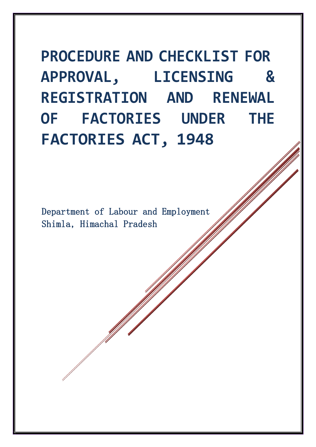**PROCEDURE AND CHECKLIST FOR APPROVAL, LICENSING & REGISTRATION AND RENEWAL OF FACTORIES UNDER THE FACTORIES ACT, 1948**

Department of Labour and Employment Shimla, Himachal Pradesh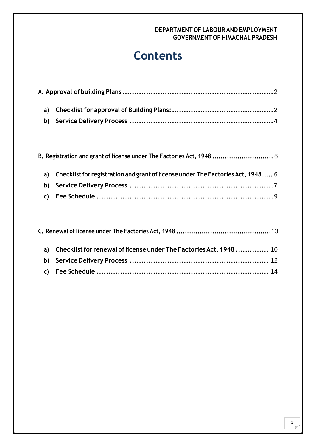# **Contents**

|  | B. Registration and grant of license under The Factories Act, 1948  6              |  |
|--|------------------------------------------------------------------------------------|--|
|  | a) Checklist for registration and grant of license under The Factories Act, 1948 6 |  |
|  |                                                                                    |  |
|  |                                                                                    |  |

|  | a) Checklist for renewal of license under The Factories Act, 1948  10 |  |
|--|-----------------------------------------------------------------------|--|
|  |                                                                       |  |
|  |                                                                       |  |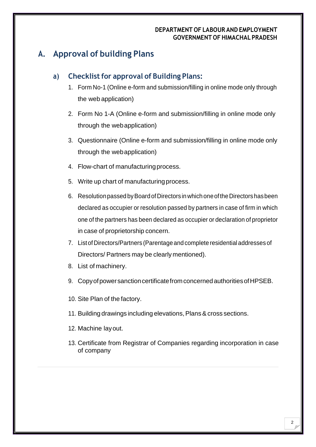### <span id="page-2-0"></span>**A. Approval of building Plans**

### <span id="page-2-1"></span>**a) Checklistfor approval of Building Plans:**

- 1. Form No-1 (Online e-form and submission/filling in online mode only through the web application)
- 2. Form No 1-A (Online e-form and submission/filling in online mode only through the webapplication)
- 3. Questionnaire (Online e-form and submission/filling in online mode only through the webapplication)
- 4. Flow-chart of manufacturingprocess.
- 5. Write up chart of manufacturing process.
- 6. Resolutionpassed byBoardofDirectors inwhich oneoftheDirectorshasbeen declared as occupier or resolution passed by partners in case of firm in which one of the partners has been declared as occupier or declaration of proprietor in case of proprietorship concern.
- 7. ListofDirectors/Partners (Parentage and complete residential addresses of Directors/ Partners may be clearly mentioned).
- 8. List of machinery.
- 9. Copy of power sanction certificate from concerned authorities of HPSEB.

10. Site Plan of the factory.

- 11. Building drawings including elevations, Plans & cross sections.
- 12. Machine layout.
- 13. Certificate from Registrar of Companies regarding incorporation in case of company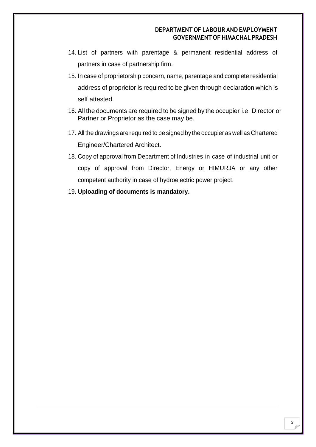- 14. List of partners with parentage & permanent residential address of partners in case of partnership firm.
- 15. In case of proprietorship concern, name, parentage and complete residential address of proprietor is required to be given through declaration which is self attested.
- 16. All the documents are required to be signed by the occupier i.e. Director or Partner or Proprietor as the case may be.
- 17. All the drawings are required to be signed by the occupier as well as Chartered Engineer/Chartered Architect.
- 18. Copy of approval from Department of Industries in case of industrial unit or copy of approval from Director, Energy or HIMURJA or any other competent authority in case of hydroelectric power project.
- 19. **Uploading of documents is mandatory.**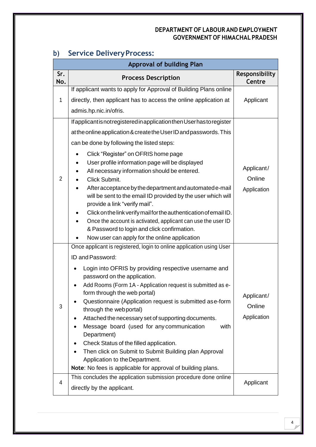|            | <b>Approval of building Plan</b>                                                                                                                                                                                                                                                                                                                                                                                                                                                                                                                                                                                                                                                                                                                                     |                                     |  |  |  |  |  |  |
|------------|----------------------------------------------------------------------------------------------------------------------------------------------------------------------------------------------------------------------------------------------------------------------------------------------------------------------------------------------------------------------------------------------------------------------------------------------------------------------------------------------------------------------------------------------------------------------------------------------------------------------------------------------------------------------------------------------------------------------------------------------------------------------|-------------------------------------|--|--|--|--|--|--|
| Sr.<br>No. | <b>Process Description</b>                                                                                                                                                                                                                                                                                                                                                                                                                                                                                                                                                                                                                                                                                                                                           | Responsibility<br>Centre            |  |  |  |  |  |  |
| 1          | If applicant wants to apply for Approval of Building Plans online<br>directly, then applicant has to access the online application at<br>admis.hp.nic.in/ofris.                                                                                                                                                                                                                                                                                                                                                                                                                                                                                                                                                                                                      | Applicant                           |  |  |  |  |  |  |
| 2          | If applicant is not registered in application then User has to register<br>at the online application & create the User ID and passwords. This<br>can be done by following the listed steps:<br>Click "Register" on OFRIS home page<br>$\bullet$<br>User profile information page will be displayed<br>All necessary information should be entered.<br>Click Submit.<br>After acceptance by the department and automated e-mail<br>will be sent to the email ID provided by the user which will<br>provide a link "verify mail".<br>Click on the link verify mail for the authentication of email ID.<br>Once the account is activated, applicant can use the user ID<br>& Password to login and click confirmation.<br>Now user can apply for the online application | Applicant/<br>Online<br>Application |  |  |  |  |  |  |
| 3          | Once applicant is registered, login to online application using User<br>ID and Password:<br>Login into OFRIS by providing respective username and<br>password on the application.<br>Add Rooms (Form 1A - Application request is submitted as e-<br>form through the web portal)<br>Questionnaire (Application request is submitted as e-form<br>through the webportal)<br>Attached the necessary set of supporting documents.<br>Message board (used for any communication<br>with<br>Department)<br>Check Status of the filled application.<br>Then click on Submit to Submit Building plan Approval<br>Application to the Department.<br>Note: No fees is applicable for approval of building plans.                                                              | Applicant/<br>Online<br>Application |  |  |  |  |  |  |
| 4          | This concludes the application submission procedure done online<br>directly by the applicant.                                                                                                                                                                                                                                                                                                                                                                                                                                                                                                                                                                                                                                                                        | Applicant                           |  |  |  |  |  |  |

## <span id="page-4-0"></span>**b) Service DeliveryProcess:**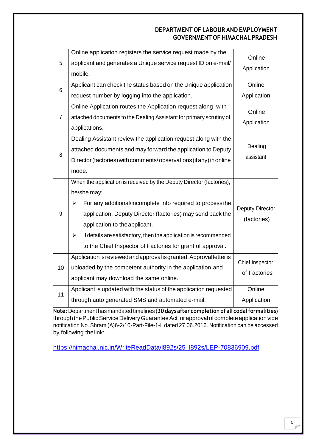| 5              | Online application registers the service request made by the<br>applicant and generates a Unique service request ID on e-mail/<br>mobile.                                                                                                                                                                                                                                                    | Online<br>Application           |  |
|----------------|----------------------------------------------------------------------------------------------------------------------------------------------------------------------------------------------------------------------------------------------------------------------------------------------------------------------------------------------------------------------------------------------|---------------------------------|--|
| 6              | Applicant can check the status based on the Unique application<br>request number by logging into the application.                                                                                                                                                                                                                                                                            | Online<br>Application           |  |
| $\overline{7}$ | Online Application routes the Application request along with<br>attached documents to the Dealing Assistant for primary scrutiny of<br>applications.                                                                                                                                                                                                                                         | Online<br>Application           |  |
| 8              | Dealing Assistant review the application request along with the<br>attached documents and may forward the application to Deputy<br>Director (factories) with comments/observations (if any) in online<br>mode.                                                                                                                                                                               | Dealing<br>assistant            |  |
| 9              | When the application is received by the Deputy Director (factories),<br>he/she may:<br>For any additional/incomplete info required to process the<br>➤<br>application, Deputy Director (factories) may send back the<br>application to the applicant.<br>If details are satisfactory, then the application is recommended<br>➤<br>to the Chief Inspector of Factories for grant of approval. | Deputy Director<br>(factories)  |  |
| 10             | Application is reviewed and approval is granted. Approval letter is<br>uploaded by the competent authority in the application and<br>applicant may download the same online.                                                                                                                                                                                                                 | Chief Inspector<br>of Factories |  |
| 11             | Applicant is updated with the status of the application requested<br>through auto generated SMS and automated e-mail.                                                                                                                                                                                                                                                                        | Online<br>Application           |  |

**Note:** Department has mandated timelines (**30 days after completion of all codalformalities**) through the Public Service Delivery Guarantee Act for approval of complete application vide notification No. Shram (A)6-2/10-Part-File-1-L dated 27.06.2016. Notification can be accessed by following the link:

[https://himachal.nic.in/WriteReadData/l892s/25\\_l892s/LEP-70836909.pdf](https://himachal.nic.in/WriteReadData/l892s/25_l892s/LEP-70836909.pdf)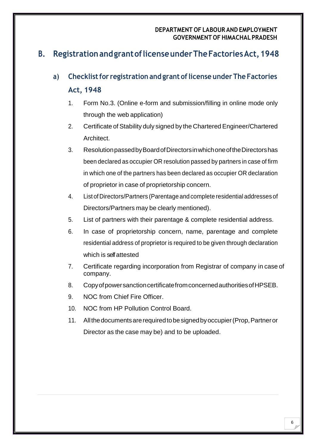## <span id="page-6-0"></span>**B. RegistrationandgrantoflicenseunderTheFactoriesAct,1948**

# <span id="page-6-1"></span>**a) Checklistfor registration and grant oflicense under The Factories Act, 1948**

- 1. Form No.3. (Online e-form and submission/filling in online mode only through the web application)
- 2. Certificate of Stability duly signed by the Chartered Engineer/Chartered Architect.
- 3. ResolutionpassedbyBoardofDirectorsinwhichoneoftheDirectorshas been declared as occupier OR resolution passed by partners in case of firm in which one of the partners has been declared as occupier OR declaration of proprietor in case of proprietorship concern.
- 4. List of Directors/Partners (Parentage and complete residential addresses of Directors/Partners may be clearly mentioned).
- 5. List of partners with their parentage & complete residential address.
- 6. In case of proprietorship concern, name, parentage and complete residential address of proprietor is required to be given through declaration which is self attested
- 7. Certificate regarding incorporation from Registrar of company in case of company.
- 8. CopyofpowersanctioncertificatefromconcernedauthoritiesofHPSEB.
- 9. NOC from Chief Fire Officer.
- 10. NOC from HP Pollution Control Board.
- 11. Allthedocumentsarerequiredtobesignedbyoccupier(Prop,Partneror Director as the case may be) and to be uploaded.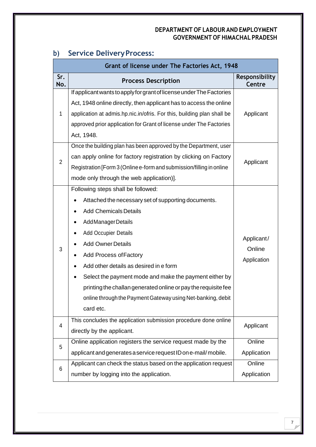|                | Grant of license under The Factories Act, 1948                                                                                                                                                                                                                                                                                                                                                                                                                                          |                                     |
|----------------|-----------------------------------------------------------------------------------------------------------------------------------------------------------------------------------------------------------------------------------------------------------------------------------------------------------------------------------------------------------------------------------------------------------------------------------------------------------------------------------------|-------------------------------------|
| Sr.<br>No.     | <b>Process Description</b>                                                                                                                                                                                                                                                                                                                                                                                                                                                              | Responsibility<br>Centre            |
| 1              | If applicant wants to apply for grant of license under The Factories<br>Act, 1948 online directly, then applicant has to access the online<br>application at admis.hp.nic.in/ofris. For this, building plan shall be<br>approved prior application for Grant of license under The Factories<br>Act, 1948.                                                                                                                                                                               | Applicant                           |
| $\overline{2}$ | Once the building plan has been approved by the Department, user<br>can apply online for factory registration by clicking on Factory<br>Registration [Form 3 (Online e-form and submission/filling in online<br>mode only through the web application)].                                                                                                                                                                                                                                | Applicant                           |
| 3              | Following steps shall be followed:<br>Attached the necessary set of supporting documents.<br><b>Add Chemicals Details</b><br>Add Manager Details<br><b>Add Occupier Details</b><br><b>Add Owner Details</b><br>Add Process of Factory<br>Add other details as desired in e form<br>Select the payment mode and make the payment either by<br>printing the challan generated online or pay the requisite fee<br>online through the Payment Gateway using Net-banking, debit<br>card etc. | Applicant/<br>Online<br>Application |
| 4              | This concludes the application submission procedure done online<br>directly by the applicant.                                                                                                                                                                                                                                                                                                                                                                                           | Applicant                           |
| 5              | Online application registers the service request made by the<br>applicant and generates a service request ID on e-mail/mobile.                                                                                                                                                                                                                                                                                                                                                          | Online<br>Application               |
| 6              | Applicant can check the status based on the application request<br>number by logging into the application.                                                                                                                                                                                                                                                                                                                                                                              | Online<br>Application               |

# <span id="page-7-0"></span>**b) Service DeliveryProcess:**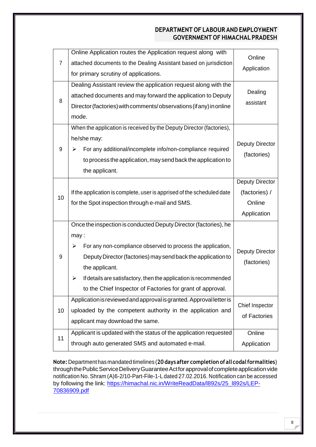| $\overline{7}$ | Online Application routes the Application request along with<br>attached documents to the Dealing Assistant based on jurisdiction | Online                 |  |  |
|----------------|-----------------------------------------------------------------------------------------------------------------------------------|------------------------|--|--|
|                | for primary scrutiny of applications.                                                                                             | Application            |  |  |
|                | Dealing Assistant review the application request along with the                                                                   |                        |  |  |
| 8              | attached documents and may forward the application to Deputy                                                                      | Dealing                |  |  |
|                | Director (factories) with comments/observations (if any) in online                                                                | assistant              |  |  |
|                | mode.                                                                                                                             |                        |  |  |
|                | When the application is received by the Deputy Director (factories),                                                              |                        |  |  |
|                | he/she may:                                                                                                                       | <b>Deputy Director</b> |  |  |
| 9              | For any additional/incomplete info/non-compliance required<br>➤                                                                   | (factories)            |  |  |
|                | to process the application, may send back the application to                                                                      |                        |  |  |
|                | the applicant.                                                                                                                    |                        |  |  |
|                |                                                                                                                                   | <b>Deputy Director</b> |  |  |
| 10             | If the application is complete, user is apprised of the scheduled date                                                            | (factories) /          |  |  |
|                | for the Spot inspection through e-mail and SMS.                                                                                   | Online                 |  |  |
|                |                                                                                                                                   |                        |  |  |
|                |                                                                                                                                   | Application            |  |  |
|                | Once the inspection is conducted Deputy Director (factories), he                                                                  |                        |  |  |
|                | may:                                                                                                                              |                        |  |  |
|                | For any non-compliance observed to process the application,<br>➤                                                                  |                        |  |  |
| 9              | Deputy Director (factories) may send back the application to                                                                      | <b>Deputy Director</b> |  |  |
|                | the applicant.                                                                                                                    | (factories)            |  |  |
|                | If details are satisfactory, then the application is recommended<br>➤                                                             |                        |  |  |
|                | to the Chief Inspector of Factories for grant of approval.                                                                        |                        |  |  |
|                | Application is reviewed and approval is granted. Approval letter is                                                               | Chief Inspector        |  |  |
| 10             | uploaded by the competent authority in the application and                                                                        | of Factories           |  |  |
|                | applicant may download the same.                                                                                                  |                        |  |  |
| 11             | Applicant is updated with the status of the application requested<br>through auto generated SMS and automated e-mail.             | Online                 |  |  |

**Note:** Department hasmandated timelines (**20 daysafter completion of all codalformalities**) through the Public Service Delivery Guarantee Act for approval of complete application vide notification No. Shram (A)6-2/10-Part-File-1-L dated 27.02.2016. Notification can be accessed by following the link: [https://himachal.nic.in/WriteReadData/l892s/25\\_l892s/LEP-](https://himachal.nic.in/WriteReadData/l892s/25_l892s/LEP-70836909.pdf)[70836909.pdf](https://himachal.nic.in/WriteReadData/l892s/25_l892s/LEP-70836909.pdf)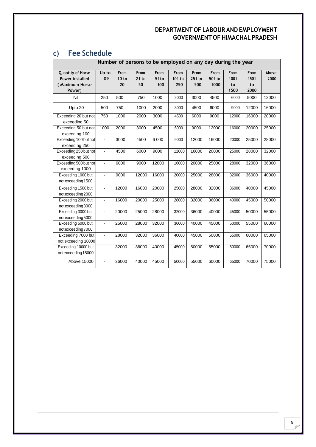# <span id="page-9-0"></span>**c) Fee Schedule**

| Number of persons to be employed on any day during the year             |                |                     |                       |                                 |                       |                       |                        |                            |                            |               |
|-------------------------------------------------------------------------|----------------|---------------------|-----------------------|---------------------------------|-----------------------|-----------------------|------------------------|----------------------------|----------------------------|---------------|
| Quantity of Horse<br><b>Power installed</b><br>(Maximum Horse<br>Power) | Up to<br>09    | From<br>10 to<br>20 | From<br>$21$ to<br>50 | From<br>51 <sub>to</sub><br>100 | From<br>101 to<br>250 | From<br>251 to<br>500 | From<br>501 to<br>1000 | From<br>1001<br>to<br>1500 | From<br>1501<br>to<br>2000 | Above<br>2000 |
| Nil                                                                     | 250            | 500                 | 750                   | 1000                            | 2000                  | 3000                  | 4500                   | 6000                       | 9000                       | 12000         |
| Upto 20                                                                 | 500            | 750                 | 1000                  | 2000                            | 3000                  | 4500                  | 6000                   | 9000                       | 12000                      | 16000         |
| Exceeding 20 but not<br>exceeding 50                                    | 750            | 1000                | 2000                  | 3000                            | 4500                  | 6000                  | 9000                   | 12000                      | 16000                      | 20000         |
| Exceeding 50 but not<br>exceeding 100                                   | 1000           | 2000                | 3000                  | 4500                            | 6000                  | 9000                  | 12000                  | 16000                      | 20000                      | 25000         |
| Exceeding 100 but not<br>exceeding 250                                  | $\blacksquare$ | 3000                | 4500                  | 6 0 0 0                         | 9000                  | 12000                 | 16000                  | 20000                      | 25000                      | 28000         |
| Exceeding 250 but not<br>exceeding 500                                  |                | 4500                | 6000                  | 9000                            | 12000                 | 16000                 | 20000                  | 25000                      | 28000                      | 32000         |
| Exceeding 500 but not<br>exceeding 1000                                 | $\mathbf{r}$   | 6000                | 9000                  | 12000                           | 16000                 | 20000                 | 25000                  | 28000                      | 32000                      | 36000         |
| Exceeding 1000 but<br>notexceeding 1500                                 | $\blacksquare$ | 9000                | 12000                 | 16000                           | 20000                 | 25000                 | 28000                  | 32000                      | 36000                      | 40000         |
| Exceeding 1500 but<br>notexceeding 2000                                 | $\blacksquare$ | 12000               | 16000                 | 20000                           | 25000                 | 28000                 | 32000                  | 36000                      | 40000                      | 45000         |
| Exceeding 2000 but<br>notexceeding 3000                                 | $\blacksquare$ | 16000               | 20000                 | 25000                           | 28000                 | 32000                 | 36000                  | 40000                      | 45000                      | 50000         |
| Exceeding 3000 but<br>notexceeding 5000                                 | $\blacksquare$ | 20000               | 25000                 | 28000                           | 32000                 | 36000                 | 40000                  | 45000                      | 50000                      | 55000         |
| Exceeding 5000 but<br>notexceeding 7000                                 | ä,             | 25000               | 28000                 | 32000                           | 36000                 | 40000                 | 45000                  | 50000                      | 55000                      | 60000         |
| Exceeding 7000 but<br>not exceeding 10000                               | ä,             | 28000               | 32000                 | 36000                           | 40000                 | 45000                 | 50000                  | 55000                      | 60000                      | 65000         |
| Exceeding 10000 but<br>notexceeding 15000                               | $\blacksquare$ | 32000               | 36000                 | 40000                           | 45000                 | 50000                 | 55000                  | 60000                      | 65000                      | 70000         |
| Above 15000                                                             | $\blacksquare$ | 36000               | 40000                 | 45000                           | 50000                 | 55000                 | 60000                  | 65000                      | 70000                      | 75000         |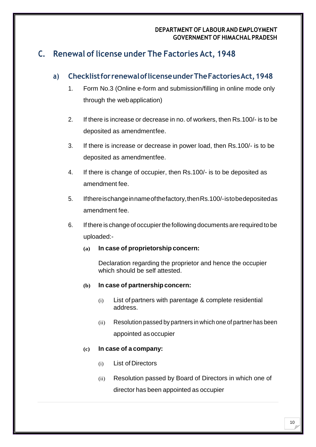## <span id="page-10-0"></span>**C. Renewal of license under The Factories Act, 1948**

### <span id="page-10-1"></span>**a) ChecklistforrenewaloflicenseunderTheFactoriesAct,1948**

- 1. Form No.3 (Online e-form and submission/filling in online mode only through the webapplication)
- 2. If there is increase or decrease in no. of workers, then Rs.100/- is to be deposited as amendmentfee.
- 3. If there is increase or decrease in power load, then Rs.100/- is to be deposited as amendmentfee.
- 4. If there is change of occupier, then Rs.100/- is to be deposited as amendment fee.
- 5. Ifthereischangeinnameofthefactory,thenRs.100/-istobedepositedas amendment fee.
- 6. If there is change of occupierthe following documents are required to be uploaded:-
	- **(a) In case of proprietorshipconcern:**

Declaration regarding the proprietor and hence the occupier which should be self attested.

- **(b) In case of partnership concern:**
	- (i) List of partners with parentage & complete residential address.
	- (ii) Resolution passed by partners in which one of partner has been appointed asoccupier

### **(c) In case of a company:**

- (i) List of Directors
- (ii) Resolution passed by Board of Directors in which one of director has been appointed as occupier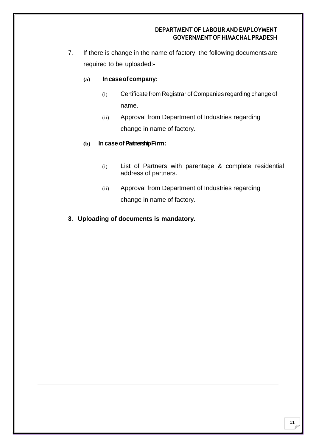7. If there is change in the name of factory, the following documents are required to be uploaded:-

#### **(a) Incaseofcompany:**

- (i) Certificate from Registrar of Companies regarding change of name.
- (ii) Approval from Department of Industries regarding change in name of factory.

#### **(b) In case ofPartnership Firm:**

- (i) List of Partners with parentage & complete residential address of partners.
- (ii) Approval from Department of Industries regarding change in name of factory.

### **8. Uploading of documents is mandatory.**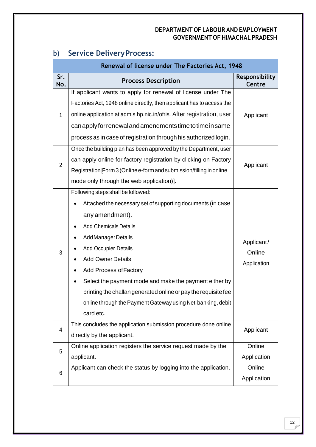|                | Renewal of license under The Factories Act, 1948                                                                                                                                                                                                                                                                                                                                                                                                                                |                                     |
|----------------|---------------------------------------------------------------------------------------------------------------------------------------------------------------------------------------------------------------------------------------------------------------------------------------------------------------------------------------------------------------------------------------------------------------------------------------------------------------------------------|-------------------------------------|
| Sr.<br>No.     | <b>Process Description</b>                                                                                                                                                                                                                                                                                                                                                                                                                                                      | Responsibility<br>Centre            |
| 1              | If applicant wants to apply for renewal of license under The<br>Factories Act, 1948 online directly, then applicant has to access the<br>online application at admis.hp.nic.in/ofris. After registration, user<br>can apply for renewal and amendments time to time in same<br>process as in case of registration through his authorized login.                                                                                                                                 | Applicant                           |
| $\overline{2}$ | Once the building plan has been approved by the Department, user<br>can apply online for factory registration by clicking on Factory<br>Registration [Form 3 (Online e-form and submission/filling in online<br>mode only through the web application)].                                                                                                                                                                                                                        | Applicant                           |
| 3              | Following steps shall be followed:<br>Attached the necessary set of supporting documents (in case<br>any amendment).<br><b>Add Chemicals Details</b><br>Add Manager Details<br><b>Add Occupier Details</b><br><b>Add Owner Details</b><br><b>Add Process of Factory</b><br>Select the payment mode and make the payment either by<br>printing the challan generated online or pay the requisite fee<br>online through the Payment Gateway using Net-banking, debit<br>card etc. | Applicant/<br>Online<br>Application |
| 4              | This concludes the application submission procedure done online<br>directly by the applicant.                                                                                                                                                                                                                                                                                                                                                                                   | Applicant                           |
| 5              | Online application registers the service request made by the<br>applicant.                                                                                                                                                                                                                                                                                                                                                                                                      | Online<br>Application               |
| 6              | Applicant can check the status by logging into the application.                                                                                                                                                                                                                                                                                                                                                                                                                 | Online<br>Application               |

# <span id="page-12-0"></span>**b) Service DeliveryProcess:**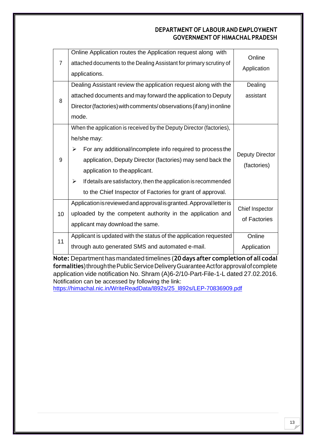| $\overline{7}$ | Online Application routes the Application request along with<br>attached documents to the Dealing Assistant for primary scrutiny of<br>applications.                                                                                                                                                                                                                                         | Online<br>Application                 |
|----------------|----------------------------------------------------------------------------------------------------------------------------------------------------------------------------------------------------------------------------------------------------------------------------------------------------------------------------------------------------------------------------------------------|---------------------------------------|
| 8              | Dealing Assistant review the application request along with the<br>attached documents and may forward the application to Deputy<br>Director (factories) with comments/observations (if any) in online<br>mode.                                                                                                                                                                               | Dealing<br>assistant                  |
| 9              | When the application is received by the Deputy Director (factories),<br>he/she may:<br>For any additional/incomplete info required to process the<br>➤<br>application, Deputy Director (factories) may send back the<br>application to the applicant.<br>If details are satisfactory, then the application is recommended<br>➤<br>to the Chief Inspector of Factories for grant of approval. | <b>Deputy Director</b><br>(factories) |
| 10             | Application is reviewed and approval is granted. Approval letter is<br>uploaded by the competent authority in the application and<br>applicant may download the same.                                                                                                                                                                                                                        | Chief Inspector<br>of Factories       |
| 11             | Applicant is updated with the status of the application requested<br>through auto generated SMS and automated e-mail.                                                                                                                                                                                                                                                                        | Online<br>Application                 |

**Note:** Department has mandated timelines (**20 days after completion of all codal**  formalities) through the Public Service Delivery Guarantee Act for approval of complete application vide notification No. Shram (A)6-2/10-Part-File-1-L dated 27.02.2016. Notification can be accessed by following the link:

[https://himachal.nic.in/WriteReadData/l892s/25\\_l892s/LEP-70836909.pdf](https://himachal.nic.in/WriteReadData/l892s/25_l892s/LEP-70836909.pdf)